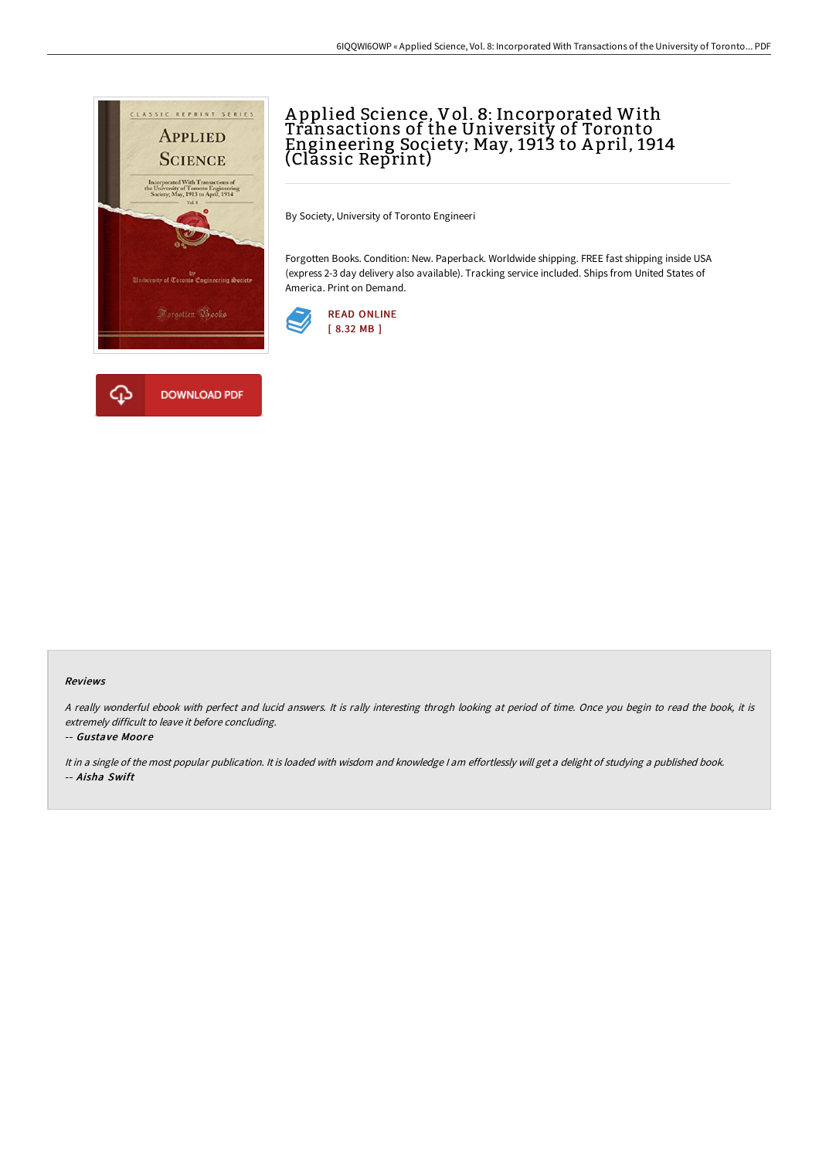

## A pplied Science, Vol. 8: Incorporated With Transactions of the University of Toronto Engineering Society; May, 1913 to A pril, 1914 (Classic Reprint)

By Society, University of Toronto Engineeri

Forgotten Books. Condition: New. Paperback. Worldwide shipping. FREE fast shipping inside USA (express 2-3 day delivery also available). Tracking service included. Ships from United States of America. Print on Demand.



## Reviews

<sup>A</sup> really wonderful ebook with perfect and lucid answers. It is rally interesting throgh looking at period of time. Once you begin to read the book, it is extremely difficult to leave it before concluding.

## -- Gustave Moore

It in <sup>a</sup> single of the most popular publication. It is loaded with wisdom and knowledge <sup>I</sup> am effortlessly will get <sup>a</sup> delight of studying <sup>a</sup> published book. -- Aisha Swift